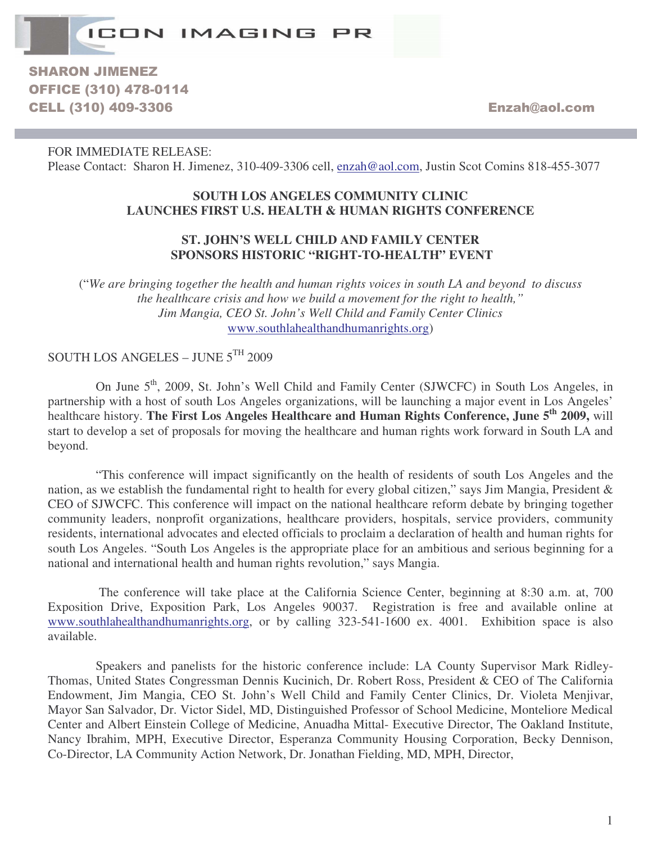

**SHARON JIMENEZ OFFICE (310) 478-0114** CELL (310) 409-3306 **Enzah** @aol.com

FOR IMMEDIATE RELEASE: Please Contact: Sharon H. Jimenez, 310-409-3306 cell, enzah@aol.com, Justin Scot Comins 818-455-3077

## **SOUTH LOS ANGELES COMMUNITY CLINIC LAUNCHES FIRST U.S. HEALTH & HUMAN RIGHTS CONFERENCE**

## **ST. JOHN'S WELL CHILD AND FAMILY CENTER SPONSORS HISTORIC "RIGHT-TO-HEALTH" EVENT**

("*We are bringing together the health and human rights voices in south LA and beyond to discuss the healthcare crisis and how we build a movement for the right to health," Jim Mangia, CEO St. John's Well Child and Family Center Clinics* www.southlahealthandhumanrights.org)

SOUTH LOS ANGELES - JUNE 5TH 2009

On June 5<sup>th</sup>, 2009, St. John's Well Child and Family Center (SJWCFC) in South Los Angeles, in partnership with a host of south Los Angeles organizations, will be launching a major event in Los Angeles' healthcare history. **The First Los Angeles Healthcare and Human Rights Conference, June 5 th 2009,** will start to develop a set of proposals for moving the healthcare and human rights work forward in South LA and beyond.

"This conference will impact significantly on the health of residents of south Los Angeles and the nation, as we establish the fundamental right to health for every global citizen," says Jim Mangia, President & CEO of SJWCFC. This conference will impact on the national healthcare reform debate by bringing together community leaders, nonprofit organizations, healthcare providers, hospitals, service providers, community residents, international advocates and elected officials to proclaim a declaration of health and human rights for south Los Angeles. "South Los Angeles is the appropriate place for an ambitious and serious beginning for a national and international health and human rights revolution," says Mangia.

The conference will take place at the California Science Center, beginning at 8:30 a.m. at, 700 Exposition Drive, Exposition Park, Los Angeles 90037. Registration is free and available online at www.southlahealthandhumanrights.org, or by calling 323-541-1600 ex. 4001. Exhibition space is also available.

Speakers and panelists for the historic conference include: LA County Supervisor Mark Ridley-Thomas, United States Congressman Dennis Kucinich, Dr. Robert Ross, President & CEO of The California Endowment, Jim Mangia, CEO St. John's Well Child and Family Center Clinics, Dr. Violeta Menjivar, Mayor San Salvador, Dr. Victor Sidel, MD, Distinguished Professor of School Medicine, Monteliore Medical Center and Albert Einstein College of Medicine, Anuadha Mittal- Executive Director, The Oakland Institute, Nancy Ibrahim, MPH, Executive Director, Esperanza Community Housing Corporation, Becky Dennison, Co-Director, LA Community Action Network, Dr. Jonathan Fielding, MD, MPH, Director,